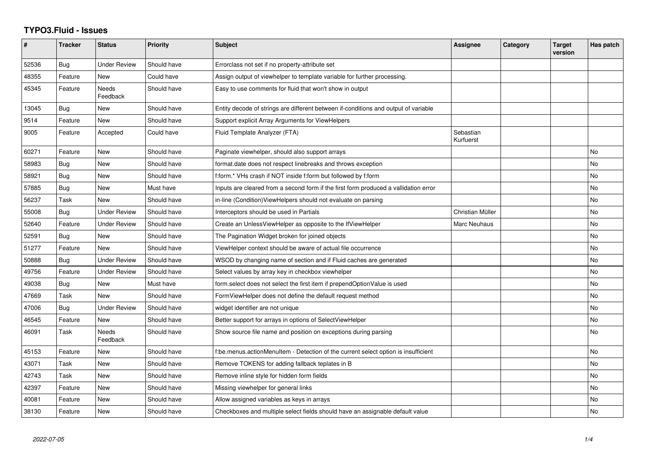## **TYPO3.Fluid - Issues**

| $\pmb{\#}$ | <b>Tracker</b> | <b>Status</b>            | <b>Priority</b> | Subject                                                                              | Assignee               | Category | <b>Target</b><br>version | Has patch |
|------------|----------------|--------------------------|-----------------|--------------------------------------------------------------------------------------|------------------------|----------|--------------------------|-----------|
| 52536      | Bug            | <b>Under Review</b>      | Should have     | Errorclass not set if no property-attribute set                                      |                        |          |                          |           |
| 48355      | Feature        | <b>New</b>               | Could have      | Assign output of viewhelper to template variable for further processing.             |                        |          |                          |           |
| 45345      | Feature        | <b>Needs</b><br>Feedback | Should have     | Easy to use comments for fluid that won't show in output                             |                        |          |                          |           |
| 13045      | Bug            | New                      | Should have     | Entity decode of strings are different between if-conditions and output of variable  |                        |          |                          |           |
| 9514       | Feature        | New                      | Should have     | Support explicit Array Arguments for ViewHelpers                                     |                        |          |                          |           |
| 9005       | Feature        | Accepted                 | Could have      | Fluid Template Analyzer (FTA)                                                        | Sebastian<br>Kurfuerst |          |                          |           |
| 60271      | Feature        | <b>New</b>               | Should have     | Paginate viewhelper, should also support arrays                                      |                        |          |                          | No        |
| 58983      | Bug            | <b>New</b>               | Should have     | format.date does not respect linebreaks and throws exception                         |                        |          |                          | <b>No</b> |
| 58921      | Bug            | New                      | Should have     | f:form.* VHs crash if NOT inside f:form but followed by f:form                       |                        |          |                          | No        |
| 57885      | Bug            | <b>New</b>               | Must have       | Inputs are cleared from a second form if the first form produced a vallidation error |                        |          |                          | No        |
| 56237      | Task           | New                      | Should have     | in-line (Condition) View Helpers should not evaluate on parsing                      |                        |          |                          | <b>No</b> |
| 55008      | Bug            | <b>Under Review</b>      | Should have     | Interceptors should be used in Partials                                              | Christian Müller       |          |                          | <b>No</b> |
| 52640      | Feature        | <b>Under Review</b>      | Should have     | Create an UnlessViewHelper as opposite to the IfViewHelper                           | Marc Neuhaus           |          |                          | <b>No</b> |
| 52591      | Bug            | <b>New</b>               | Should have     | The Pagination Widget broken for joined objects                                      |                        |          |                          | <b>No</b> |
| 51277      | Feature        | New                      | Should have     | ViewHelper context should be aware of actual file occurrence                         |                        |          |                          | No        |
| 50888      | Bug            | <b>Under Review</b>      | Should have     | WSOD by changing name of section and if Fluid caches are generated                   |                        |          |                          | <b>No</b> |
| 49756      | Feature        | <b>Under Review</b>      | Should have     | Select values by array key in checkbox viewhelper                                    |                        |          |                          | No        |
| 49038      | Bug            | New                      | Must have       | form select does not select the first item if prependOptionValue is used             |                        |          |                          | No        |
| 47669      | Task           | <b>New</b>               | Should have     | FormViewHelper does not define the default request method                            |                        |          |                          | No        |
| 47006      | Bug            | <b>Under Review</b>      | Should have     | widget identifier are not unique                                                     |                        |          |                          | <b>No</b> |
| 46545      | Feature        | New                      | Should have     | Better support for arrays in options of SelectViewHelper                             |                        |          |                          | No        |
| 46091      | Task           | <b>Needs</b><br>Feedback | Should have     | Show source file name and position on exceptions during parsing                      |                        |          |                          | No        |
| 45153      | Feature        | <b>New</b>               | Should have     | f:be.menus.actionMenuItem - Detection of the current select option is insufficient   |                        |          |                          | <b>No</b> |
| 43071      | Task           | New                      | Should have     | Remove TOKENS for adding fallback teplates in B                                      |                        |          |                          | No        |
| 42743      | Task           | New                      | Should have     | Remove inline style for hidden form fields                                           |                        |          |                          | No        |
| 42397      | Feature        | New                      | Should have     | Missing viewhelper for general links                                                 |                        |          |                          | No        |
| 40081      | Feature        | New                      | Should have     | Allow assigned variables as keys in arrays                                           |                        |          |                          | <b>No</b> |
| 38130      | Feature        | New                      | Should have     | Checkboxes and multiple select fields should have an assignable default value        |                        |          |                          | No        |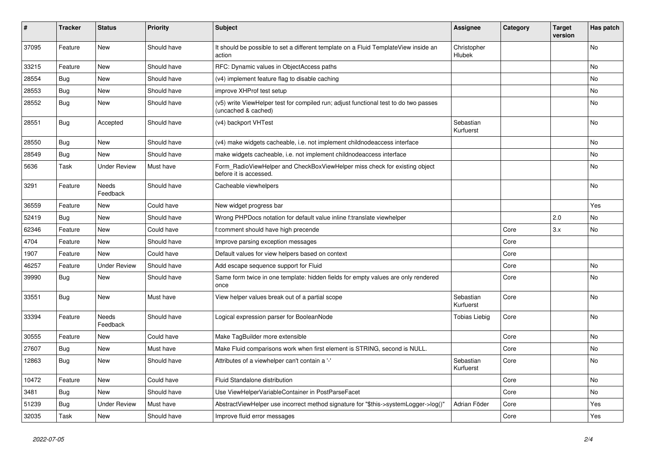| #     | <b>Tracker</b> | <b>Status</b>       | <b>Priority</b> | <b>Subject</b>                                                                                              | Assignee               | Category | <b>Target</b><br>version | Has patch |
|-------|----------------|---------------------|-----------------|-------------------------------------------------------------------------------------------------------------|------------------------|----------|--------------------------|-----------|
| 37095 | Feature        | <b>New</b>          | Should have     | It should be possible to set a different template on a Fluid TemplateView inside an<br>action               | Christopher<br>Hlubek  |          |                          | <b>No</b> |
| 33215 | Feature        | New                 | Should have     | RFC: Dynamic values in ObjectAccess paths                                                                   |                        |          |                          | No        |
| 28554 | Bug            | New                 | Should have     | (v4) implement feature flag to disable caching                                                              |                        |          |                          | No        |
| 28553 | Bug            | New                 | Should have     | improve XHProf test setup                                                                                   |                        |          |                          | No        |
| 28552 | Bug            | New                 | Should have     | (v5) write ViewHelper test for compiled run; adjust functional test to do two passes<br>(uncached & cached) |                        |          |                          | No        |
| 28551 | Bug            | Accepted            | Should have     | (v4) backport VHTest                                                                                        | Sebastian<br>Kurfuerst |          |                          | No        |
| 28550 | Bug            | <b>New</b>          | Should have     | (v4) make widgets cacheable, i.e. not implement childnodeaccess interface                                   |                        |          |                          | <b>No</b> |
| 28549 | Bug            | <b>New</b>          | Should have     | make widgets cacheable, i.e. not implement childnodeaccess interface                                        |                        |          |                          | <b>No</b> |
| 5636  | Task           | <b>Under Review</b> | Must have       | Form_RadioViewHelper and CheckBoxViewHelper miss check for existing object<br>before it is accessed.        |                        |          |                          | <b>No</b> |
| 3291  | Feature        | Needs<br>Feedback   | Should have     | Cacheable viewhelpers                                                                                       |                        |          |                          | No        |
| 36559 | Feature        | New                 | Could have      | New widget progress bar                                                                                     |                        |          |                          | Yes       |
| 52419 | Bug            | <b>New</b>          | Should have     | Wrong PHPDocs notation for default value inline f:translate viewhelper                                      |                        |          | 2.0                      | No.       |
| 62346 | Feature        | <b>New</b>          | Could have      | f:comment should have high precende                                                                         |                        | Core     | 3.x                      | <b>No</b> |
| 4704  | Feature        | New                 | Should have     | Improve parsing exception messages                                                                          |                        | Core     |                          |           |
| 1907  | Feature        | <b>New</b>          | Could have      | Default values for view helpers based on context                                                            |                        | Core     |                          |           |
| 46257 | Feature        | <b>Under Review</b> | Should have     | Add escape sequence support for Fluid                                                                       |                        | Core     |                          | No        |
| 39990 | <b>Bug</b>     | New                 | Should have     | Same form twice in one template: hidden fields for empty values are only rendered<br>once                   |                        | Core     |                          | <b>No</b> |
| 33551 | <b>Bug</b>     | New                 | Must have       | View helper values break out of a partial scope                                                             | Sebastian<br>Kurfuerst | Core     |                          | No        |
| 33394 | Feature        | Needs<br>Feedback   | Should have     | Logical expression parser for BooleanNode                                                                   | <b>Tobias Liebig</b>   | Core     |                          | No        |
| 30555 | Feature        | <b>New</b>          | Could have      | Make TagBuilder more extensible                                                                             |                        | Core     |                          | No        |
| 27607 | <b>Bug</b>     | <b>New</b>          | Must have       | Make Fluid comparisons work when first element is STRING, second is NULL.                                   |                        | Core     |                          | No        |
| 12863 | Bug            | <b>New</b>          | Should have     | Attributes of a viewhelper can't contain a '-'                                                              | Sebastian<br>Kurfuerst | Core     |                          | No        |
| 10472 | Feature        | New                 | Could have      | <b>Fluid Standalone distribution</b>                                                                        |                        | Core     |                          | No        |
| 3481  | Bug            | New                 | Should have     | Use ViewHelperVariableContainer in PostParseFacet                                                           |                        | Core     |                          | No        |
| 51239 | <b>Bug</b>     | <b>Under Review</b> | Must have       | AbstractViewHelper use incorrect method signature for "\$this->systemLogger->log()"                         | Adrian Föder           | Core     |                          | Yes       |
| 32035 | Task           | New                 | Should have     | Improve fluid error messages                                                                                |                        | Core     |                          | Yes       |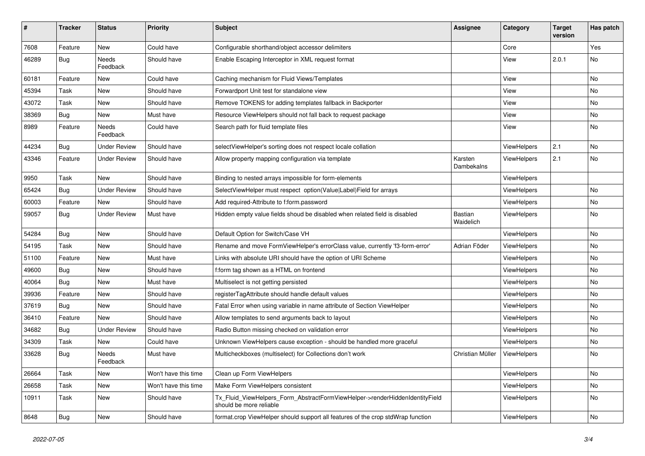| $\vert$ # | <b>Tracker</b> | <b>Status</b>       | <b>Priority</b>      | <b>Subject</b>                                                                                         | <b>Assignee</b>             | Category    | <b>Target</b><br>version | Has patch |
|-----------|----------------|---------------------|----------------------|--------------------------------------------------------------------------------------------------------|-----------------------------|-------------|--------------------------|-----------|
| 7608      | Feature        | <b>New</b>          | Could have           | Configurable shorthand/object accessor delimiters                                                      |                             | Core        |                          | Yes       |
| 46289     | <b>Bug</b>     | Needs<br>Feedback   | Should have          | Enable Escaping Interceptor in XML request format                                                      |                             | View        | 2.0.1                    | No        |
| 60181     | Feature        | New                 | Could have           | Caching mechanism for Fluid Views/Templates                                                            |                             | View        |                          | <b>No</b> |
| 45394     | Task           | New                 | Should have          | Forwardport Unit test for standalone view                                                              |                             | View        |                          | No        |
| 43072     | Task           | New                 | Should have          | Remove TOKENS for adding templates fallback in Backporter                                              |                             | View        |                          | No        |
| 38369     | Bug            | New                 | Must have            | Resource ViewHelpers should not fall back to request package                                           |                             | View        |                          | No        |
| 8989      | Feature        | Needs<br>Feedback   | Could have           | Search path for fluid template files                                                                   |                             | View        |                          | No        |
| 44234     | Bug            | <b>Under Review</b> | Should have          | selectViewHelper's sorting does not respect locale collation                                           |                             | ViewHelpers | 2.1                      | No        |
| 43346     | Feature        | <b>Under Review</b> | Should have          | Allow property mapping configuration via template                                                      | Karsten<br>Dambekalns       | ViewHelpers | 2.1                      | No        |
| 9950      | Task           | New                 | Should have          | Binding to nested arrays impossible for form-elements                                                  |                             | ViewHelpers |                          |           |
| 65424     | Bug            | <b>Under Review</b> | Should have          | SelectViewHelper must respect option(Value Label)Field for arrays                                      |                             | ViewHelpers |                          | <b>No</b> |
| 60003     | Feature        | New                 | Should have          | Add required-Attribute to f:form.password                                                              |                             | ViewHelpers |                          | No        |
| 59057     | Bug            | <b>Under Review</b> | Must have            | Hidden empty value fields shoud be disabled when related field is disabled                             | <b>Bastian</b><br>Waidelich | ViewHelpers |                          | No        |
| 54284     | Bug            | <b>New</b>          | Should have          | Default Option for Switch/Case VH                                                                      |                             | ViewHelpers |                          | No.       |
| 54195     | Task           | New                 | Should have          | Rename and move FormViewHelper's errorClass value, currently 'f3-form-error'                           | Adrian Föder                | ViewHelpers |                          | No        |
| 51100     | Feature        | New                 | Must have            | Links with absolute URI should have the option of URI Scheme                                           |                             | ViewHelpers |                          | No        |
| 49600     | Bug            | New                 | Should have          | f:form tag shown as a HTML on frontend                                                                 |                             | ViewHelpers |                          | No        |
| 40064     | Bug            | New                 | Must have            | Multiselect is not getting persisted                                                                   |                             | ViewHelpers |                          | No        |
| 39936     | Feature        | New                 | Should have          | registerTagAttribute should handle default values                                                      |                             | ViewHelpers |                          | No        |
| 37619     | <b>Bug</b>     | New                 | Should have          | Fatal Error when using variable in name attribute of Section ViewHelper                                |                             | ViewHelpers |                          | No        |
| 36410     | Feature        | <b>New</b>          | Should have          | Allow templates to send arguments back to layout                                                       |                             | ViewHelpers |                          | No        |
| 34682     | Bug            | <b>Under Review</b> | Should have          | Radio Button missing checked on validation error                                                       |                             | ViewHelpers |                          | No        |
| 34309     | Task           | New                 | Could have           | Unknown ViewHelpers cause exception - should be handled more graceful                                  |                             | ViewHelpers |                          | No        |
| 33628     | Bug            | Needs<br>Feedback   | Must have            | Multicheckboxes (multiselect) for Collections don't work                                               | Christian Müller            | ViewHelpers |                          | No        |
| 26664     | Task           | New                 | Won't have this time | Clean up Form ViewHelpers                                                                              |                             | ViewHelpers |                          | No        |
| 26658     | Task           | New                 | Won't have this time | Make Form ViewHelpers consistent                                                                       |                             | ViewHelpers |                          | No        |
| 10911     | Task           | New                 | Should have          | Tx_Fluid_ViewHelpers_Form_AbstractFormViewHelper->renderHiddenIdentityField<br>should be more reliable |                             | ViewHelpers |                          | No        |
| 8648      | Bug            | New                 | Should have          | format.crop ViewHelper should support all features of the crop stdWrap function                        |                             | ViewHelpers |                          | No        |